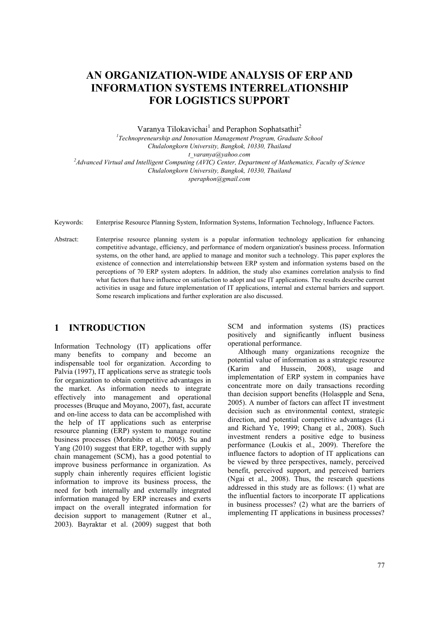# **AN ORGANIZATION-WIDE ANALYSIS OF ERP AND INFORMATION SYSTEMS INTERRELATIONSHIP FOR LOGISTICS SUPPORT**

Varanya Tilokavichai<sup>1</sup> and Peraphon Sophatsathit<sup>2</sup>

<sup>1</sup> Technopreneurship and Innovation Management Program, Graduate School *Chulalongkorn University, Bangkok, 10330, Thailand t\_varanya@yahoo.com 2 Advanced Virtual and Intelligent Computing (AVIC) Center, Department of Mathematics, Faculty of Science Chulalongkorn University, Bangkok, 10330, Thailand speraphon@gmail.com* 

Keywords: Enterprise Resource Planning System, Information Systems, Information Technology, Influence Factors.

Abstract: Enterprise resource planning system is a popular information technology application for enhancing competitive advantage, efficiency, and performance of modern organization's business process. Information systems, on the other hand, are applied to manage and monitor such a technology. This paper explores the existence of connection and interrelationship between ERP system and information systems based on the perceptions of 70 ERP system adopters. In addition, the study also examines correlation analysis to find what factors that have influence on satisfaction to adopt and use IT applications. The results describe current activities in usage and future implementation of IT applications, internal and external barriers and support. Some research implications and further exploration are also discussed.

#### **1 INTRODUCTION**

Information Technology (IT) applications offer many benefits to company and become an indispensable tool for organization. According to Palvia (1997), IT applications serve as strategic tools for organization to obtain competitive advantages in the market. As information needs to integrate effectively into management and operational processes (Bruque and Moyano, 2007), fast, accurate and on-line access to data can be accomplished with the help of IT applications such as enterprise resource planning (ERP) system to manage routine business processes (Morabito et al., 2005). Su and Yang (2010) suggest that ERP, together with supply chain management (SCM), has a good potential to improve business performance in organization. As supply chain inherently requires efficient logistic information to improve its business process, the need for both internally and externally integrated information managed by ERP increases and exerts impact on the overall integrated information for decision support to management (Rutner et al., 2003). Bayraktar et al. (2009) suggest that both

SCM and information systems (IS) practices positively and significantly influent business operational performance.

Although many organizations recognize the potential value of information as a strategic resource (Karim and Hussein, 2008), usage and implementation of ERP system in companies have concentrate more on daily transactions recording than decision support benefits (Holaspple and Sena, 2005). A number of factors can affect IT investment decision such as environmental context, strategic direction, and potential competitive advantages (Li and Richard Ye, 1999; Chang et al., 2008). Such investment renders a positive edge to business performance (Loukis et al., 2009). Therefore the influence factors to adoption of IT applications can be viewed by three perspectives, namely, perceived benefit, perceived support, and perceived barriers (Ngai et al., 2008). Thus, the research questions addressed in this study are as follows: (1) what are the influential factors to incorporate IT applications in business processes? (2) what are the barriers of implementing IT applications in business processes?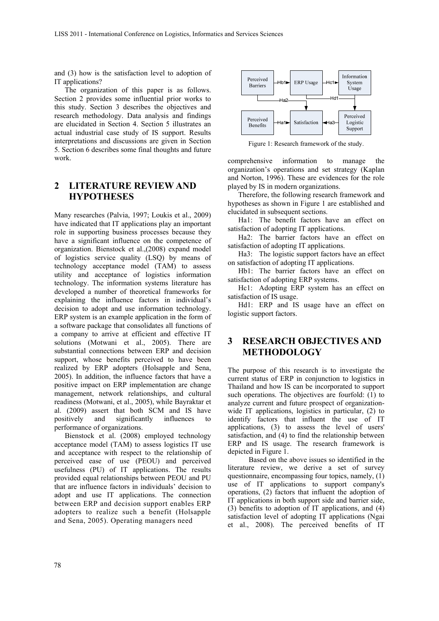and (3) how is the satisfaction level to adoption of IT applications?

The organization of this paper is as follows. Section 2 provides some influential prior works to this study. Section 3 describes the objectives and research methodology. Data analysis and findings are elucidated in Section 4. Section 5 illustrates an actual industrial case study of IS support. Results interpretations and discussions are given in Section 5. Section 6 describes some final thoughts and future work.

# **2 LITERATURE REVIEW AND HYPOTHESES**

Many researches (Palvia, 1997; Loukis et al., 2009) have indicated that IT applications play an important role in supporting business processes because they have a significant influence on the competence of organization. Bienstock et al.,(2008) expand model of logistics service quality (LSQ) by means of technology acceptance model (TAM) to assess utility and acceptance of logistics information technology. The information systems literature has developed a number of theoretical frameworks for explaining the influence factors in individual's decision to adopt and use information technology. ERP system is an example application in the form of a software package that consolidates all functions of a company to arrive at efficient and effective IT solutions (Motwani et al., 2005). There are substantial connections between ERP and decision support, whose benefits perceived to have been realized by ERP adopters (Holsapple and Sena, 2005). In addition, the influence factors that have a positive impact on ERP implementation are change management, network relationships, and cultural readiness (Motwani, et al., 2005), while Bayraktar et al. (2009) assert that both SCM and IS have positively and significantly influences to performance of organizations.

Bienstock et al. (2008) employed technology acceptance model (TAM) to assess logistics IT use and acceptance with respect to the relationship of perceived ease of use (PEOU) and perceived usefulness (PU) of IT applications. The results provided equal relationships between PEOU and PU that are influence factors in individuals' decision to adopt and use IT applications. The connection between ERP and decision support enables ERP adopters to realize such a benefit (Holsapple and Sena, 2005). Operating managers need



Figure 1: Research framework of the study.

comprehensive information to manage the organization's operations and set strategy (Kaplan and Norton, 1996). These are evidences for the role played by IS in modern organizations.

Therefore, the following research framework and hypotheses as shown in Figure 1 are established and elucidated in subsequent sections.

Ha1: The benefit factors have an effect on satisfaction of adopting IT applications.

Ha2: The barrier factors have an effect on satisfaction of adopting IT applications.

Ha3: The logistic support factors have an effect on satisfaction of adopting IT applications.

Hb1: The barrier factors have an effect on satisfaction of adopting ERP systems.

Hc1: Adopting ERP system has an effect on satisfaction of IS usage.

Hd1: ERP and IS usage have an effect on logistic support factors.

#### **3 RESEARCH OBJECTIVES AND METHODOLOGY**

The purpose of this research is to investigate the current status of ERP in conjunction to logistics in Thailand and how IS can be incorporated to support such operations. The objectives are fourfold: (1) to analyze current and future prospect of organizationwide IT applications, logistics in particular, (2) to identify factors that influent the use of IT applications, (3) to assess the level of users' satisfaction, and (4) to find the relationship between ERP and IS usage. The research framework is depicted in Figure 1.

Based on the above issues so identified in the literature review, we derive a set of survey questionnaire, encompassing four topics, namely, (1) use of IT applications to support company's operations, (2) factors that influent the adoption of IT applications in both support side and barrier side, (3) benefits to adoption of IT applications, and (4) satisfaction level of adopting IT applications (Ngai et al., 2008). The perceived benefits of IT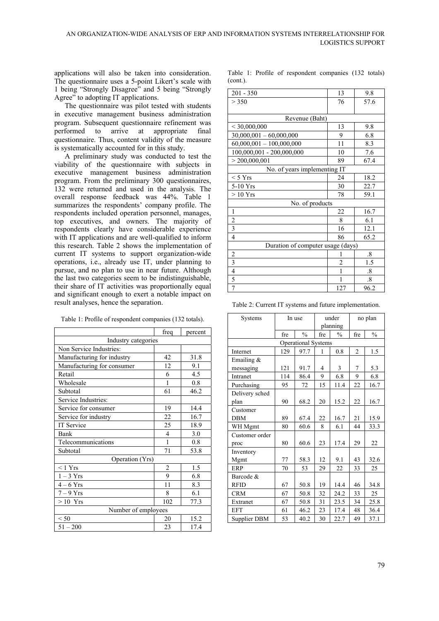applications will also be taken into consideration. The questionnaire uses a 5-point Likert's scale with 1 being "Strongly Disagree" and 5 being "Strongly Agree" to adopting IT applications.

The questionnaire was pilot tested with students in executive management business administration program. Subsequent questionnaire refinement was performed to arrive at appropriate final questionnaire. Thus, content validity of the measure is systematically accounted for in this study.

A preliminary study was conducted to test the viability of the questionnaire with subjects in executive management business administration program. From the preliminary 300 questionnaires, 132 were returned and used in the analysis. The overall response feedback was 44%. Table 1 summarizes the respondents' company profile. The respondents included operation personnel, manages, top executives, and owners. The majority of respondents clearly have considerable experience with IT applications and are well-qualified to inform this research. Table 2 shows the implementation of current IT systems to support organization-wide operations, i.e., already use IT, under planning to pursue, and no plan to use in near future. Although the last two categories seem to be indistinguishable, their share of IT activities was proportionally equal and significant enough to exert a notable impact on result analyses, hence the separation.

|                            | freq           | percent |  |  |  |  |
|----------------------------|----------------|---------|--|--|--|--|
| Industry categories        |                |         |  |  |  |  |
| Non Service Industries:    |                |         |  |  |  |  |
| Manufacturing for industry | 42             | 31.8    |  |  |  |  |
| Manufacturing for consumer | 12             | 9.1     |  |  |  |  |
| Retail                     | 6              | 4.5     |  |  |  |  |
| Wholesale                  | 1              | 0.8     |  |  |  |  |
| Subtotal                   | 61             | 46.2    |  |  |  |  |
| Service Industries:        |                |         |  |  |  |  |
| Service for consumer       | 19             | 14.4    |  |  |  |  |
| Service for industry       | 22             | 16.7    |  |  |  |  |
| <b>IT Service</b>          | 25             | 18.9    |  |  |  |  |
| Bank                       | $\overline{4}$ | 3.0     |  |  |  |  |
| Telecommunications         | 1              | 0.8     |  |  |  |  |
| Subtotal                   | 71             | 53.8    |  |  |  |  |
| Operation (Yrs)            |                |         |  |  |  |  |
| < 1 Yrs                    | 2              | 1.5     |  |  |  |  |
| $1-3$ Yrs                  | 9              | 6.8     |  |  |  |  |
| $4-6$ Yrs                  | 11             | 8.3     |  |  |  |  |
| $7-9$ Yrs                  | 8              | 6.1     |  |  |  |  |
| $>10$ Yrs                  | 102            | 77.3    |  |  |  |  |
| Number of employees        |                |         |  |  |  |  |
| < 50                       | 20             | 15.2    |  |  |  |  |
| $51 - 200$                 | 23             | 17.4    |  |  |  |  |

Table 1: Profile of respondent companies (132 totals).

Table 1: Profile of respondent companies (132 totals) (cont.).

| $201 - 350$                       | 13             | 9.8                    |  |  |  |  |
|-----------------------------------|----------------|------------------------|--|--|--|--|
| > 350                             | 76             | 57.6                   |  |  |  |  |
|                                   |                |                        |  |  |  |  |
| Revenue (Baht)                    |                |                        |  |  |  |  |
| < 30,000,000                      | 13             | 9.8                    |  |  |  |  |
| $30,000,001 - 60,000,000$         | 9              | 6.8                    |  |  |  |  |
| $60,000,001 - 100,000,000$        | 11             | 8.3                    |  |  |  |  |
| 100,000,001 - 200,000,000         | 10             | 7.6                    |  |  |  |  |
| > 200,000,001                     | 89             | 67.4                   |  |  |  |  |
| No. of years implementing IT      |                |                        |  |  |  |  |
| $<$ 5 Yrs                         | 24             | 18.2                   |  |  |  |  |
| 5-10 Yrs                          | 30             | 22.7                   |  |  |  |  |
| $>10$ Yrs                         | 78             | 59.1                   |  |  |  |  |
| No. of products                   |                |                        |  |  |  |  |
| 1                                 | 22             | 16.7                   |  |  |  |  |
| $\overline{c}$                    | 8              | 6.1                    |  |  |  |  |
| $\overline{\mathbf{3}}$           | 16             | 12.1                   |  |  |  |  |
| $\overline{4}$                    | 86             | 65.2                   |  |  |  |  |
| Duration of computer usage (days) |                |                        |  |  |  |  |
| $\overline{c}$                    |                | $\cdot$ 8              |  |  |  |  |
| $\overline{\mathbf{3}}$           | $\overline{c}$ | 1.5                    |  |  |  |  |
| $\overline{4}$                    | 1              | $\cdot$ <sup>8</sup> . |  |  |  |  |
| 5                                 |                | $\cdot$ <sup>8</sup> . |  |  |  |  |
| 7                                 | 127            | 96.2                   |  |  |  |  |

Table 2: Current IT systems and future implementation.

| Systems             | In use |                            | under    |               | no plan        |               |
|---------------------|--------|----------------------------|----------|---------------|----------------|---------------|
|                     |        |                            | planning |               |                |               |
|                     | fre    | $\frac{0}{0}$              | fre      | $\frac{0}{0}$ | fre            | $\frac{0}{0}$ |
|                     |        | <b>Operational Systems</b> |          |               |                |               |
| Internet            | 129    | 97.7                       | 1        | 0.8           | $\overline{2}$ | 1.5           |
| Emailing $&$        |        |                            |          |               |                |               |
| messaging           | 121    | 91.7                       | 4        | 3             | 7              | 5.3           |
| Intranet            | 114    | 86.4                       | 9        | 6.8           | 9              | 6.8           |
| Purchasing          | 95     | 72                         | 15       | 11.4          | 22             | 16.7          |
| Delivery sched      |        |                            |          |               |                |               |
| plan                | 90     | 68.2                       | 20       | 15.2          | 22             | 16.7          |
| Customer            |        |                            |          |               |                |               |
| <b>DBM</b>          | 89     | 67.4                       | 22       | 16.7          | 21             | 15.9          |
| WH Mgmt             | 80     | 60.6                       | 8        | 6.1           | 44             | 33.3          |
| Customer order      |        |                            |          |               |                |               |
| proc                | 80     | 60.6                       | 23       | 17.4          | 29             | 22            |
| Inventory           |        |                            |          |               |                |               |
| Mgmt                | 77     | 58.3                       | 12       | 9.1           | 43             | 32.6          |
| ERP                 | 70     | 53                         | 29       | 22            | 33             | 25            |
| Barcode &           |        |                            |          |               |                |               |
| <b>RFID</b>         | 67     | 50.8                       | 19       | 14.4          | 46             | 34.8          |
| <b>CRM</b>          | 67     | 50.8                       | 32       | 24.2          | 33             | 25            |
| Extranet            | 67     | 50.8                       | 31       | 23.5          | 34             | 25.8          |
| <b>EFT</b>          | 61     | 46.2                       | 23       | 17.4          | 48             | 36.4          |
| <b>Supplier DBM</b> | 53     | 40.2                       | 30       | 22.7          | 49             | 37.1          |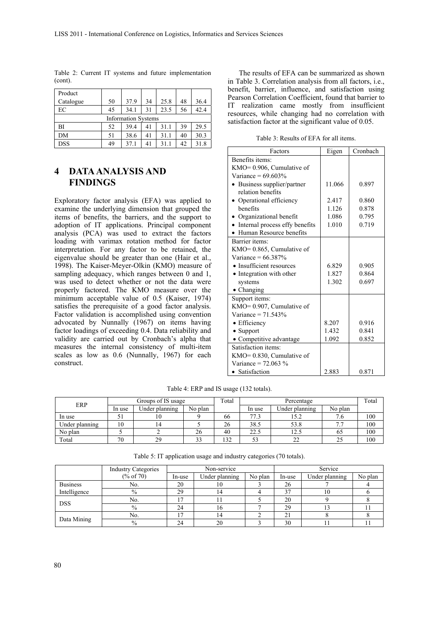| Product                    |    |      |    |      |    |      |
|----------------------------|----|------|----|------|----|------|
| Catalogue                  | 50 | 37.9 | 34 | 25.8 | 48 | 36.4 |
| EC                         | 45 | 34.1 | 31 | 23.5 | 56 | 42.4 |
| <b>Information Systems</b> |    |      |    |      |    |      |
| BI                         | 52 | 39.4 | 41 | 31.1 | 39 | 29.5 |
| DM                         | 51 | 38.6 | 41 | 31.1 | 40 | 30.3 |
| <b>DSS</b>                 | 49 | 37.1 | 41 | 31.1 | 42 | 31.8 |

Table 2: Current IT systems and future implementation (cont).

## **4 DATA ANALYSIS AND FINDINGS**

Exploratory factor analysis (EFA) was applied to examine the underlying dimension that grouped the items of benefits, the barriers, and the support to adoption of IT applications. Principal component analysis (PCA) was used to extract the factors loading with varimax rotation method for factor interpretation. For any factor to be retained, the eigenvalue should be greater than one (Hair et al., 1998). The Kaiser-Meyer-Olkin (KMO) measure of sampling adequacy, which ranges between 0 and 1, was used to detect whether or not the data were properly factored. The KMO measure over the minimum acceptable value of 0.5 (Kaiser, 1974) satisfies the prerequisite of a good factor analysis. Factor validation is accomplished using convention advocated by Nunnally (1967) on items having factor loadings of exceeding 0.4. Data reliability and validity are carried out by Cronbach's alpha that measures the internal consistency of multi-item scales as low as 0.6 (Nunnally, 1967) for each construct.

The results of EFA can be summarized as shown in Table 3. Correlation analysis from all factors, i.e., benefit, barrier, influence, and satisfaction using Pearson Correlation Coefficient, found that barrier to IT realization came mostly from insufficient resources, while changing had no correlation with satisfaction factor at the significant value of 0.05.

Table 3: Results of EFA for all items.

| Factors                          | Eigen  | Cronbach |
|----------------------------------|--------|----------|
| Benefits items:                  |        |          |
| $KMO=0.906$ , Cumulative of      |        |          |
| Variance = $69.603\%$            |        |          |
| Business supplier/partner        | 11.066 | 0.897    |
| relation benefits                |        |          |
| Operational efficiency           | 2.417  | 0.860    |
| henefits                         | 1.126  | 0.878    |
| • Organizational benefit         | 1.086  | 0.795    |
| • Internal process effy benefits | 1.010  | 0.719    |
| • Human Resource benefits        |        |          |
| <b>Barrier</b> items:            |        |          |
| $KMO=0.865$ , Cumulative of      |        |          |
| Variance = $66.387\%$            |        |          |
| • Insufficient resources         | 6.829  | 0.905    |
| • Integration with other         | 1.827  | 0.864    |
| systems                          | 1.302  | 0.697    |
| • Changing                       |        |          |
| Support items:                   |        |          |
| $KMO=0.907$ , Cumulative of      |        |          |
| Variance = $71.543%$             |        |          |
| • Efficiency                     | 8.207  | 0.916    |
| $\bullet$ Support                | 1.432  | 0.841    |
| • Competitive advantage          | 1.092  | 0.852    |
| Satisfaction items:              |        |          |
| $KMO=0.830$ , Cumulative of      |        |          |
| Variance = $72.063\%$            |        |          |
| • Satisfaction                   | 2.883  | 0.871    |

Table 4: ERP and IS usage (132 totals).

| ERP            | Groups of IS usage |                | Total   | Percentage |        |                | Total   |     |
|----------------|--------------------|----------------|---------|------------|--------|----------------|---------|-----|
|                | In use             | Jnder planning | No plan |            | In use | Under planning | No plan |     |
| In use         |                    |                |         | 66         | 77.3   |                |         | 100 |
| Under planning | 10                 |                |         | 26         | 38.5   | 53.8           |         | 100 |
| No plan        |                    |                | 26      | 40         | 22.5   | 12.5           | 02      | 100 |
| Total          | 70                 | 29             | $\sim$  | 132        | ر ر    |                |         | 100 |

Table 5: IT application usage and industry categories (70 totals).

|                 | <b>Industry Categories</b> | Non-service |                |         | Service |                |         |
|-----------------|----------------------------|-------------|----------------|---------|---------|----------------|---------|
|                 | $(\% \text{ of } 70)$      | In-use      | Under planning | No plan | In-use  | Under planning | No plan |
| <b>Business</b> | No.                        | 20          | 10             |         | 26      |                |         |
| Intelligence    | $\%$                       | 29          | 14             |         | 27      | 10             |         |
| <b>DSS</b>      | No.                        |             |                |         | 20      |                |         |
|                 | $\%$                       | 24          | 16             |         | 29      |                |         |
|                 | No.                        | רו          | 14             |         | 21      |                |         |
| Data Mining     | $\%$                       | 24          | 20             |         | 30      |                |         |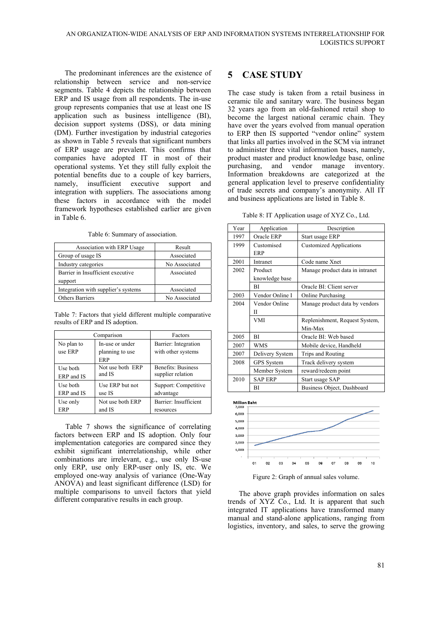The predominant inferences are the existence of relationship between service and non-service segments. Table 4 depicts the relationship between ERP and IS usage from all respondents. The in-use group represents companies that use at least one IS application such as business intelligence (BI), decision support systems (DSS), or data mining (DM). Further investigation by industrial categories as shown in Table 5 reveals that significant numbers of ERP usage are prevalent. This confirms that companies have adopted IT in most of their operational systems. Yet they still fully exploit the potential benefits due to a couple of key barriers, namely, insufficient executive support and integration with suppliers. The associations among these factors in accordance with the model framework hypotheses established earlier are given in Table 6.

Table 6: Summary of association.

| Association with ERP Usage          | Result        |
|-------------------------------------|---------------|
| Group of usage IS                   | Associated    |
| Industry categories                 | No Associated |
| Barrier in Insufficient executive   | Associated    |
| support                             |               |
| Integration with supplier's systems | Associated    |
| Others Barriers                     | No Associated |

Table 7: Factors that yield different multiple comparative results of ERP and IS adoption.

|            | Comparison       | Factors                   |
|------------|------------------|---------------------------|
| No plan to | In-use or under  | Barrier: Integration      |
| use ERP    | planning to use  | with other systems        |
|            | ERP              |                           |
| Use both   | Not use both ERP | <b>Benefits: Business</b> |
| ERP and IS | and IS           | supplier relation         |
| Use both   | Use ERP but not  | Support: Competitive      |
| ERP and IS | use IS           | advantage                 |
| Use only   | Not use both ERP | Barrier: Insufficient     |
| ERP        | and IS           | resources                 |

Table 7 shows the significance of correlating factors between ERP and IS adoption. Only four implementation categories are compared since they exhibit significant interrelationship, while other combinations are irrelevant, e.g., use only IS-use only ERP, use only ERP-user only IS, etc. We employed one-way analysis of variance (One-Way ANOVA) and least significant difference (LSD) for multiple comparisons to unveil factors that yield different comparative results in each group.

## **5 CASE STUDY**

The case study is taken from a retail business in ceramic tile and sanitary ware. The business began 32 years ago from an old-fashioned retail shop to become the largest national ceramic chain. They have over the years evolved from manual operation to ERP then IS supported "vendor online" system that links all parties involved in the SCM via intranet to administer three vital information bases, namely, product master and product knowledge base, online purchasing, and vendor manage inventory. Information breakdowns are categorized at the general application level to preserve confidentiality of trade secrets and company's anonymity. All IT and business applications are listed in Table 8.

Table 8: IT Application usage of XYZ Co., Ltd.

| Year | Application               | Description                     |
|------|---------------------------|---------------------------------|
| 1997 | Oracle ERP                | Start usage ERP                 |
| 1999 | Customised<br><b>ERP</b>  | <b>Customized Applications</b>  |
| 2001 | Intranet                  | Code name Xnet                  |
| 2002 | Product<br>knowledge base | Manage product data in intranet |
|      | ВI                        | Oracle BI: Client server        |
| 2003 | Vendor Online I           | Online Purchasing               |
| 2004 | Vendor Online             | Manage product data by vendors  |
|      | П                         |                                 |
|      | VMI                       | Replenishment, Request System,  |
|      |                           | Min-Max                         |
| 2005 | RI                        | Oracle BI: Web based            |
| 2007 | <b>WMS</b>                | Mobile device, Handheld         |
| 2007 | Delivery System           | Trips and Routing               |
| 2008 | GPS System                | Track delivery system           |
|      | Member System             | reward/redeem point             |
| 2010 | <b>SAP ERP</b>            | Start usage SAP                 |
|      | ΒI                        | Business Object, Dashboard      |



Figure 2: Graph of annual sales volume.

The above graph provides information on sales trends of XYZ Co., Ltd. It is apparent that such integrated IT applications have transformed many manual and stand-alone applications, ranging from logistics, inventory, and sales, to serve the growing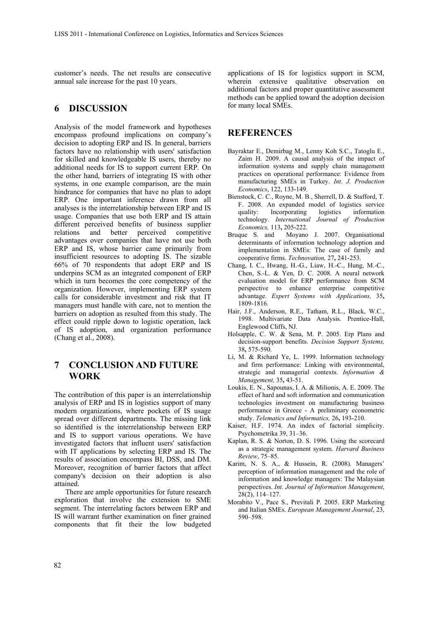customer's needs. The net results are consecutive annual sale increase for the past 10 years.

#### **6 DISCUSSION**

Analysis of the model framework and hypotheses encompass profound implications on company's decision to adopting ERP and IS. In general, barriers factors have no relationship with users' satisfaction for skilled and knowledgeable IS users, thereby no additional needs for IS to support current ERP. On the other hand, barriers of integrating IS with other systems, in one example comparison, are the main hindrance for companies that have no plan to adopt ERP. One important inference drawn from all analyses is the interrelationship between ERP and IS usage. Companies that use both ERP and IS attain different perceived benefits of business supplier relations and better perceived competitive advantages over companies that have not use both ERP and IS, whose barrier came primarily from insufficient resources to adopting IS. The sizable 66% of 70 respondents that adopt ERP and IS underpins SCM as an integrated component of ERP which in turn becomes the core competency of the organization. However, implementing ERP system calls for considerable investment and risk that IT managers must handle with care, not to mention the barriers on adoption as resulted from this study. The effect could ripple down to logistic operation, lack of IS adoption, and organization performance (Chang et al., 2008).

#### **7 CONCLUSION AND FUTURE WORK**

The contribution of this paper is an interrelationship analysis of ERP and IS in logistics support of many modern organizations, where pockets of IS usage spread over different departments. The missing link so identified is the interrelationship between ERP and IS to support various operations. We have investigated factors that influent users' satisfaction with IT applications by selecting ERP and IS. The results of association encompass BI, DSS, and DM. Moreover, recognition of barrier factors that affect company's decision on their adoption is also attained.

There are ample opportunities for future research exploration that involve the extension to SME segment. The interrelating factors between ERP and IS will warrant further examination on finer grained components that fit their the low budgeted

applications of IS for logistics support in SCM, wherein extensive qualitative observation on additional factors and proper quantitative assessment methods can be applied toward the adoption decision for many local SMEs.

#### **REFERENCES**

- Bayraktar E., Demirbag M., Lenny Koh S.C., Tatoglu E., Zaim H. 2009. A causal analysis of the impact of information systems and supply chain management practices on operational performance: Evidence from manufacturing SMEs in Turkey. *Int. J. Production Economics*, 122, 133-149.
- Bienstock, C. C., Royne, M. B., Sherrell, D. & Stafford, T. F. 2008. An expanded model of logistics service quality: Incorporating logistics information technology. *International Journal of Production Economics,* 113**,** 205-222.
- Bruque S. and Moyano J. 2007. Organisational determinants of information technology adoption and implementation in SMEs: The case of family and cooperative firms. *Technovation,* 27**,** 241-253.
- Chang, I. C., Hwang, H.-G., Liaw, H.-C., Hung, M.-C., Chen, S.-L. & Yen, D. C. 2008. A neural network evaluation model for ERP performance from SCM perspective to enhance enterprise competitive advantage. *Expert Systems with Applications,* 35**,** 1809-1816.
- Hair, J.F., Anderson, R.E., Tatham, R.L., Black, W.C., 1998. Multivariate Data Analysis. Prentice-Hall, Englewood Cliffs, NJ.
- Holsapple, C. W. & Sena, M. P. 2005. Erp Plans and decision-support benefits. *Decision Support Systems,* 38**,** 575-590.
- Li, M. & Richard Ye, L. 1999. Information technology and firm performance: Linking with environmental, strategic and managerial contexts. *Information & Management,* 35**,** 43-51.
- Loukis, E. N., Sapounas, I. A. & Milionis, A. E. 2009. The effect of hard and soft information and communication technologies investment on manufacturing business performance in Greece - A preliminary econometric study. *Telematics and Informatics,* 26**,** 193-210.
- Kaiser, H.F. 1974. An index of factorial simplicity. Psychometrika 39, 31–36.
- Kaplan, R. S. & Norton, D. S. 1996. Using the scorecard as a strategic management system. *Harvard Business Review*, 75–85.
- Karim, N. S. A., & Hussein, R. (2008). Managers' perception of information management and the role of information and knowledge managers: The Malaysian perspectives. *Int. Journal of Information Management*, 28(2), 114–127.
- Morabito V., Pace S., Previtali P. 2005. ERP Marketing and Italian SMEs. *European Management Journal*, 23, 590–598.